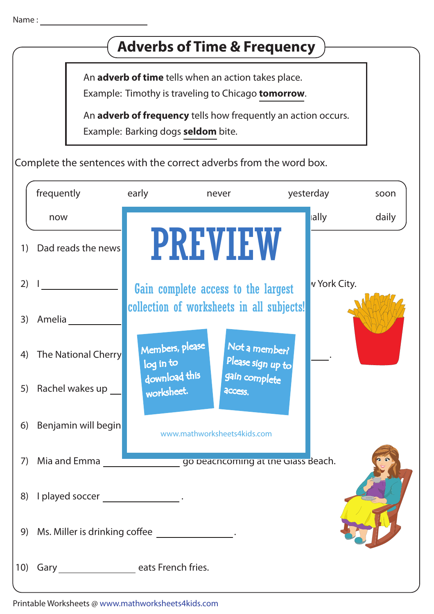## 2)  $\frac{1}{2}$   $\frac{1}{2}$   $\frac{1}{2}$   $\frac{1}{2}$   $\frac{1}{2}$   $\frac{1}{2}$   $\frac{1}{2}$   $\frac{1}{2}$   $\frac{1}{2}$   $\frac{1}{2}$   $\frac{1}{2}$   $\frac{1}{2}$   $\frac{1}{2}$   $\frac{1}{2}$   $\frac{1}{2}$   $\frac{1}{2}$   $\frac{1}{2}$   $\frac{1}{2}$   $\frac{1}{2}$   $\frac{1}{2}$   $\frac{1}{2}$   $\frac{1}{2}$ 3) Amelia 4) The National Cherry 1) Dad reads the news **THE REAL FIGURE 1** 5) Rachel wakes up 6) Benjamin will begin 7) Mia and Emma go beachcoming at the Glass Beach. 8) I played soccer \_\_\_\_\_\_\_\_\_\_\_\_\_\_\_\_\_. Example: Timothy is traveling to Chicago **tomorrow**. An **adverb of time** tells when an action takes place. Example: Barking dogs **seldom** bite. An **adverb of frequency** tells how frequently an action occurs. Complete the sentences with the correct adverbs from the word box. 10) Gary \_\_\_\_\_\_\_\_\_\_\_\_\_\_\_\_\_ eats French fries. 9) Ms. Miller is drinking co!ee . Name : <u>\_\_\_\_\_\_\_\_\_\_\_\_\_\_</u> **Adverbs of Time & Frequency** soon daily frequently now early often never yesterday lally PREVIEW www.mathworksheets4kids.com Members, please download this worksheet. log in to Not a member? gain complete Please sign up to **access** collection of worksheets in all subjects!